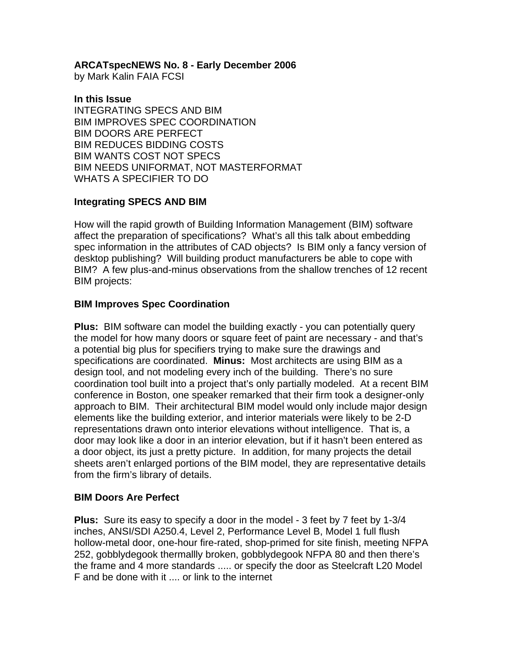**ARCATspecNEWS No. 8 - Early December 2006** 

by Mark Kalin FAIA FCSI

#### **In this Issue**

INTEGRATING SPECS AND BIM BIM IMPROVES SPEC COORDINATION BIM DOORS ARE PERFECT BIM REDUCES BIDDING COSTS BIM WANTS COST NOT SPECS BIM NEEDS UNIFORMAT, NOT MASTERFORMAT WHATS A SPECIFIER TO DO

# **Integrating SPECS AND BIM**

How will the rapid growth of Building Information Management (BIM) software affect the preparation of specifications? What's all this talk about embedding spec information in the attributes of CAD objects? Is BIM only a fancy version of desktop publishing? Will building product manufacturers be able to cope with BIM? A few plus-and-minus observations from the shallow trenches of 12 recent BIM projects:

# **BIM Improves Spec Coordination**

**Plus:** BIM software can model the building exactly - you can potentially query the model for how many doors or square feet of paint are necessary - and that's a potential big plus for specifiers trying to make sure the drawings and specifications are coordinated. **Minus:** Most architects are using BIM as a design tool, and not modeling every inch of the building. There's no sure coordination tool built into a project that's only partially modeled. At a recent BIM conference in Boston, one speaker remarked that their firm took a designer-only approach to BIM. Their architectural BIM model would only include major design elements like the building exterior, and interior materials were likely to be 2-D representations drawn onto interior elevations without intelligence. That is, a door may look like a door in an interior elevation, but if it hasn't been entered as a door object, its just a pretty picture. In addition, for many projects the detail sheets aren't enlarged portions of the BIM model, they are representative details from the firm's library of details.

# **BIM Doors Are Perfect**

**Plus:** Sure its easy to specify a door in the model - 3 feet by 7 feet by 1-3/4 inches, ANSI/SDI A250.4, Level 2, Performance Level B, Model 1 full flush hollow-metal door, one-hour fire-rated, shop-primed for site finish, meeting NFPA 252, gobblydegook thermallly broken, gobblydegook NFPA 80 and then there's the frame and 4 more standards ..... or specify the door as Steelcraft L20 Model F and be done with it .... or link to the internet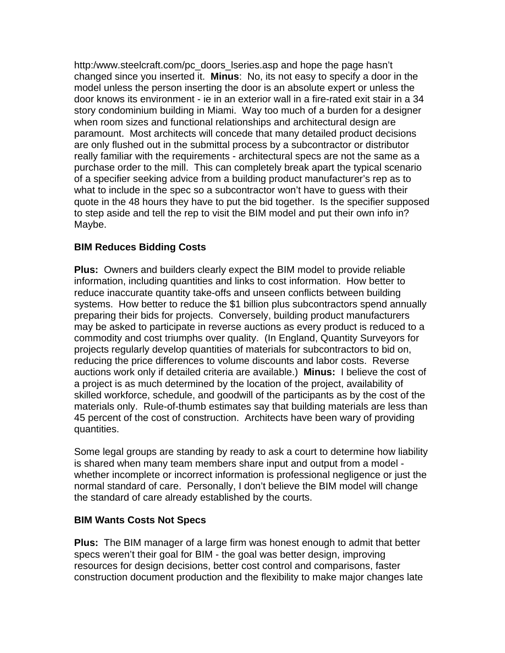http:/www.steelcraft.com/pc\_doors\_lseries.asp and hope the page hasn't changed since you inserted it. **Minus**: No, its not easy to specify a door in the model unless the person inserting the door is an absolute expert or unless the door knows its environment - ie in an exterior wall in a fire-rated exit stair in a 34 story condominium building in Miami. Way too much of a burden for a designer when room sizes and functional relationships and architectural design are paramount. Most architects will concede that many detailed product decisions are only flushed out in the submittal process by a subcontractor or distributor really familiar with the requirements - architectural specs are not the same as a purchase order to the mill. This can completely break apart the typical scenario of a specifier seeking advice from a building product manufacturer's rep as to what to include in the spec so a subcontractor won't have to guess with their quote in the 48 hours they have to put the bid together. Is the specifier supposed to step aside and tell the rep to visit the BIM model and put their own info in? Maybe.

# **BIM Reduces Bidding Costs**

**Plus:** Owners and builders clearly expect the BIM model to provide reliable information, including quantities and links to cost information. How better to reduce inaccurate quantity take-offs and unseen conflicts between building systems. How better to reduce the \$1 billion plus subcontractors spend annually preparing their bids for projects. Conversely, building product manufacturers may be asked to participate in reverse auctions as every product is reduced to a commodity and cost triumphs over quality. (In England, Quantity Surveyors for projects regularly develop quantities of materials for subcontractors to bid on, reducing the price differences to volume discounts and labor costs. Reverse auctions work only if detailed criteria are available.) **Minus:** I believe the cost of a project is as much determined by the location of the project, availability of skilled workforce, schedule, and goodwill of the participants as by the cost of the materials only. Rule-of-thumb estimates say that building materials are less than 45 percent of the cost of construction. Architects have been wary of providing quantities.

Some legal groups are standing by ready to ask a court to determine how liability is shared when many team members share input and output from a model whether incomplete or incorrect information is professional negligence or just the normal standard of care. Personally, I don't believe the BIM model will change the standard of care already established by the courts.

#### **BIM Wants Costs Not Specs**

**Plus:** The BIM manager of a large firm was honest enough to admit that better specs weren't their goal for BIM - the goal was better design, improving resources for design decisions, better cost control and comparisons, faster construction document production and the flexibility to make major changes late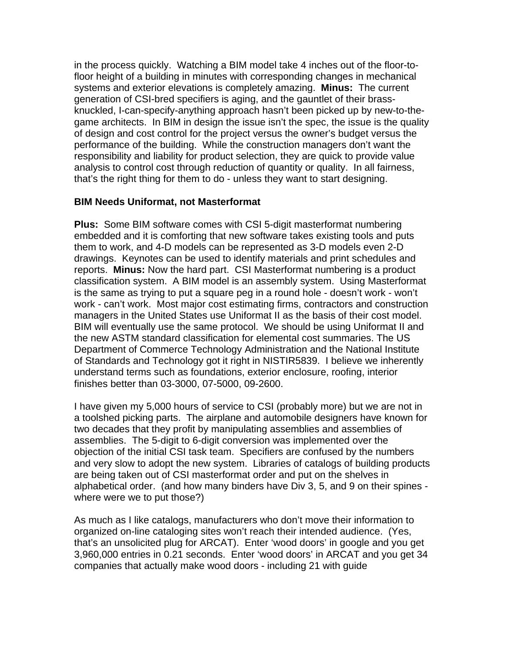in the process quickly. Watching a BIM model take 4 inches out of the floor-tofloor height of a building in minutes with corresponding changes in mechanical systems and exterior elevations is completely amazing. **Minus:** The current generation of CSI-bred specifiers is aging, and the gauntlet of their brassknuckled, I-can-specify-anything approach hasn't been picked up by new-to-thegame architects. In BIM in design the issue isn't the spec, the issue is the quality of design and cost control for the project versus the owner's budget versus the performance of the building. While the construction managers don't want the responsibility and liability for product selection, they are quick to provide value analysis to control cost through reduction of quantity or quality. In all fairness, that's the right thing for them to do - unless they want to start designing.

#### **BIM Needs Uniformat, not Masterformat**

**Plus:** Some BIM software comes with CSI 5-digit masterformat numbering embedded and it is comforting that new software takes existing tools and puts them to work, and 4-D models can be represented as 3-D models even 2-D drawings. Keynotes can be used to identify materials and print schedules and reports. **Minus:** Now the hard part. CSI Masterformat numbering is a product classification system. A BIM model is an assembly system. Using Masterformat is the same as trying to put a square peg in a round hole - doesn't work - won't work - can't work. Most major cost estimating firms, contractors and construction managers in the United States use Uniformat II as the basis of their cost model. BIM will eventually use the same protocol. We should be using Uniformat II and the new ASTM standard classification for elemental cost summaries. The US Department of Commerce Technology Administration and the National Institute of Standards and Technology got it right in NISTIR5839. I believe we inherently understand terms such as foundations, exterior enclosure, roofing, interior finishes better than 03-3000, 07-5000, 09-2600.

I have given my 5,000 hours of service to CSI (probably more) but we are not in a toolshed picking parts. The airplane and automobile designers have known for two decades that they profit by manipulating assemblies and assemblies of assemblies. The 5-digit to 6-digit conversion was implemented over the objection of the initial CSI task team. Specifiers are confused by the numbers and very slow to adopt the new system. Libraries of catalogs of building products are being taken out of CSI masterformat order and put on the shelves in alphabetical order. (and how many binders have Div 3, 5, and 9 on their spines where were we to put those?)

As much as I like catalogs, manufacturers who don't move their information to organized on-line cataloging sites won't reach their intended audience. (Yes, that's an unsolicited plug for ARCAT). Enter 'wood doors' in google and you get 3,960,000 entries in 0.21 seconds. Enter 'wood doors' in ARCAT and you get 34 companies that actually make wood doors - including 21 with guide